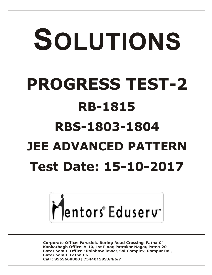# SOLUTIONS **PROGRESS TEST-2 RB-1815 RBS-1803-1804 JEE ADVANCED PATTERN Test Date: 15-10-2017**



**Corporate Office: Paruslok, Boring Road Crossing, Patna-01** Kankarbagh Office: A-10, 1st Floor, Patrakar Nagar, Patna-20 Bazar Samiti Office: Rainbow Tower, Sai Complex, Rampur Rd., **Bazar Samiti Patna-06** Call: 9569668800 | 7544015993/4/6/7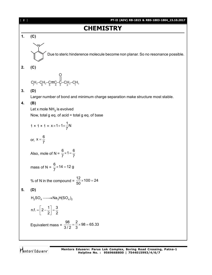

Mentors Eduserv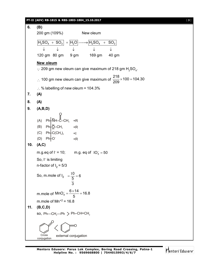|     | PT-II (ADV) RB-1815 & RBS-1803-1804_15.10.2017                                                                                                                                                                                                        | $[3]$ |
|-----|-------------------------------------------------------------------------------------------------------------------------------------------------------------------------------------------------------------------------------------------------------|-------|
| 6.  | (B)                                                                                                                                                                                                                                                   |       |
|     | 200 gm (109%) New oleum                                                                                                                                                                                                                               |       |
|     | $\overline{H_2SO_4 + SO_3} + \overline{H_2O} \longrightarrow \overline{H_2SO_4 + SO_3}$                                                                                                                                                               |       |
|     |                                                                                                                                                                                                                                                       |       |
|     | 120 gm 80 gm 9 gm 169 gm<br>40 gm                                                                                                                                                                                                                     |       |
|     | New oleum                                                                                                                                                                                                                                             |       |
|     | $\cdot$ 209 gm new oleum can give maximum of 218 gm H <sub>2</sub> SO <sub>4</sub> .                                                                                                                                                                  |       |
|     | ∴ 100 gm new oleum can give maximum of $\frac{218}{209}$ × 100 = 104.30                                                                                                                                                                               |       |
|     | $\therefore$ % labelling of new oleum = 104.3%                                                                                                                                                                                                        |       |
| 7.  | (A)                                                                                                                                                                                                                                                   |       |
| 8.  | (A)                                                                                                                                                                                                                                                   |       |
| 9.  | (A,B,D)                                                                                                                                                                                                                                               |       |
| 10. | (A)<br>Ph∔ÑH<br>$+R$<br>$(B)$ Ph $\frac{1}{2}$ CH <sub>3</sub><br>$+R$<br>(C) $\mathsf{Ph}$ + C(CH <sub>3</sub> ) <sub>3</sub> + I<br>$(D)$ Ph <sub>t</sub> O <sup>-</sup><br>$+R$<br>(A, C)<br>m.g.eq of $l = 10$ ; m.g. eq of $lO_3^{\dagger} = 50$ |       |
|     | So, I <sup>-</sup> is limiting                                                                                                                                                                                                                        |       |
|     | n-factor of $I_2 = 5/3$                                                                                                                                                                                                                               |       |
|     | So, m.mole of $I_2 = \frac{10}{\frac{5}{3}} = 6$                                                                                                                                                                                                      |       |
|     | m.mole of $MnO4 = \frac{6 \times 14}{5} = 16.8$                                                                                                                                                                                                       |       |
|     | m.mole of $Mn^{+2} = 16.8$                                                                                                                                                                                                                            |       |
| 11. | (B, C, D)                                                                                                                                                                                                                                             |       |
|     | so, $Ph$ --CH <sub>2</sub> --Ph $>$ Ph-CH=CH <sub>2</sub>                                                                                                                                                                                             |       |
|     | Cross<br>external conjugation                                                                                                                                                                                                                         |       |
|     | conjugation                                                                                                                                                                                                                                           |       |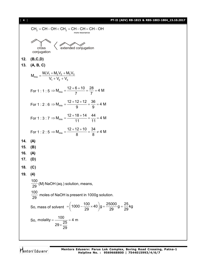[ **4** ] **PT-II (ADV) RB-1815 & RBS-1803-1804\_15.10.2017**

CH<sub>2</sub> = CH – OH < < CH<sub>2</sub> = CH – CH = CH – OH  
\n
$$
\frac{\text{cross}}{\text{conjugation}}
$$
\n
$$
\left\{\n\begin{array}{l}\n\text{exろ of the image resonance} \\
\text{conjugation}\n\end{array}\n\right.
$$
\n12. (B, C, D)  
\n13. (A, B, C)  
\n
$$
M_{mix} = \frac{M_1 V_1 + M_2 V_2 + M_3 V_3}{V_1 + V_2 + V_3}
$$
\nFor 1 : 1 : 5  $\Rightarrow$   $M_{mix} = \frac{12 + 6 + 10}{7} = \frac{28}{7} = 4$  M  
\nFor 1 : 2 : 6  $\Rightarrow$   $M_{mix} = \frac{12 + 12 + 12}{9} = \frac{36}{9} = 4$  M  
\nFor 1 : 3 : 7  $\Rightarrow$   $M_{mix} = \frac{12 + 18 + 14}{11} = \frac{44}{11} = 4$  M  
\nFor 1 : 2 : 5  $\Rightarrow$   $M_{mix} = \frac{12 + 12 + 10}{8} = \frac{34}{8} \neq 4$  M  
\n14. (A)  
\n15. (B)  
\n16. (A)  
\n17. (D)  
\n18. (C)  
\n19. (4)  
\n $\frac{100}{29}$  (M) NaOH (aq.) solution, means,  
\n $\frac{100}{29}$  moles of NaOH is present in 1000g solution.  
\nSo, mass of solvent =  $\left(1000 - \frac{100}{29} \times 40\right)g = \frac{25000}{29}g = \frac{25}{29}kg$   
\nSo, molality =  $\frac{100}{29 \times \frac{25}{29}} = 4$  m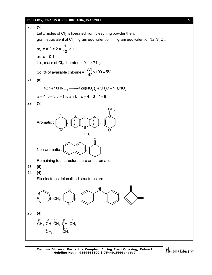#### **PT-II (ADV) RB-1815 & RBS-1803-1804\_15.10.2017** [ **5** ]



Mentors<sup>e</sup> Eduserv<sup>®</sup>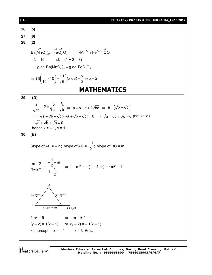| $\begin{bmatrix} 6 \end{bmatrix}$ | PT-II (ADV) RB-1815 & RBS-1803-1804_15.10.2017                                                                                                |
|-----------------------------------|-----------------------------------------------------------------------------------------------------------------------------------------------|
| 26.                               | (5)                                                                                                                                           |
| 27.                               | (6)                                                                                                                                           |
| 28.                               | (2)                                                                                                                                           |
|                                   | $Ba(MnO_4)_2 + FeC_2O_4 \xrightarrow{H^+} Mn^{2+} + Fe^{3+} + CO_2$                                                                           |
|                                   | $n.f. = 10$ $n.f. = (1 + 2 = 3)$                                                                                                              |
|                                   | g eq. Ba(MnO <sub>4</sub> ) <sub>2</sub> = g. eq. FeC <sub>2</sub> O <sub>4</sub>                                                             |
|                                   | $\Rightarrow$ (1) $\left(\frac{1}{10} \times 10\right) = \left(\frac{1}{6}\right) (x \times 3) = \frac{x}{2} \Rightarrow x = 2$               |
|                                   | <b>MATHEMATICS</b>                                                                                                                            |
| 29.                               | (D)                                                                                                                                           |
|                                   | $\frac{a}{\sqrt{cb}}-2=\sqrt{\frac{b}{c}}+\sqrt{\frac{c}{b}} \Rightarrow a=b+c+2\sqrt{bc} \Rightarrow a=\left(\sqrt{b}+\sqrt{c}\right)^2$     |
|                                   | $\Rightarrow (\sqrt{a} - \sqrt{b} - \sqrt{c})(\sqrt{a} + \sqrt{b} + \sqrt{c}) = 0 \Rightarrow \sqrt{a} + \sqrt{b} + \sqrt{c} = 0$ (not valid) |
|                                   | $-\sqrt{a} + \sqrt{b} + \sqrt{c} = 0$                                                                                                         |
|                                   | hence $x = -1$ , $y = 1$                                                                                                                      |
| 30.                               | (B)                                                                                                                                           |
|                                   | Slope of AB = – 2; slope of AC = $\frac{-1}{2}$ ; slope of BC = m                                                                             |
|                                   | $\frac{m+2}{1-2m} = \frac{-\frac{1}{2}-m}{1-\frac{1}{2}m}$ $\Rightarrow$ 4 - m <sup>2</sup> = - (1 - 4m <sup>2</sup> ) = 4m <sup>2</sup> - 1  |
|                                   | $2x+y=1$<br>$x+2y=2$<br>В<br>$\overline{C}(1,2)$<br>slope = $m$                                                                               |
|                                   | $5m^2 = 5$<br>$\Rightarrow$ m = ± 1                                                                                                           |
|                                   | $(y-2) = 1(x-1)$ or $(y-2) = -1(x-1)$                                                                                                         |
|                                   | x-intercept $x = -1$<br>$x = 3$ Ans.                                                                                                          |
|                                   |                                                                                                                                               |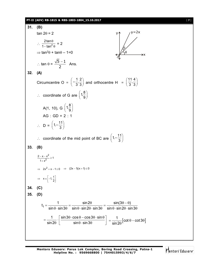#### **PT-II (ADV) RB-1815 & RBS-1803-1804\_15.10.2017** [ **7** ]

**31. (B)**  $y=2x$  $\tan 2\theta = 2$  $\therefore \frac{2\tan\theta}{1+\tan^2\theta}$  $\frac{2\tan\theta}{-\tan^2\theta}$  = 2  $1 - tan$  $\Rightarrow$  tan<sup>2</sup> $\theta$  + tan $\theta$  – 1=0 : tan  $\theta = \frac{\sqrt{5} - 1}{2}$  Ans. 2 **32. (A)** Circumcentre O =  $\left(-\frac{1}{3}, \frac{2}{3}\right)$  and orthocentre H =  $\left(\frac{11}{3}, \frac{4}{3}\right)$  $3^{\degree}3$ ∴ coordinate of G are  $\left(1, \frac{8}{9}\right)$ 9 A(1, 10), G  $\left(1, \frac{8}{9}\right)$ 9  $AG : GD = 2 : 1$  $\therefore D = \left(1, -\frac{11}{3}\right)$ 3  $\therefore$  coordinate of the mid point of BC are  $\left(1, -\frac{11}{3}\right)$ 3 **33. (B)** 2  $\frac{2-x-x^2}{1+x^2} \ge 1$  $\frac{-x-x^2}{2} \ge$  $1 + x^2$  $^{+}$  $\Rightarrow 2x^2 + x - 1 \leq 0 \Rightarrow (2x - 1)(x + 1) \leq 0$  $\Rightarrow$   $x \in \left[-1, \frac{1}{2}\right]$ **34. (C) 35. (D)**  $t_1 = {1 \over \sin 2\theta} = {\sin 2\theta \over \sin 2\theta \sin 2\theta \sin 2\theta} = {\sin (3\theta - \theta) \over \sin \theta \sin 2\theta \sin 2\theta \sin 2\theta \sin 2\theta}$  $=\frac{1}{1}$   $\sin 2\theta = \frac{\sin 2\theta}{1} = \frac{\sin (3\theta - \theta)}{\sin (3\theta - \theta)}$  $\sin\theta\cdot\sin3\theta$  sin $\theta\cdot\sin2\theta\cdot\sin3\theta$  sin $\theta\cdot\sin2\theta\cdot\sin3$  $\theta \cdot \sin 3\theta$  sin $\theta \cdot \sin 2\theta \cdot \sin 3\theta$  sin $\theta \cdot \sin 2\theta \cdot \sin 3\theta$  $=\frac{1}{\sin 2\theta} \cdot \left[ \frac{\sin 3\theta \cdot \cos \theta - \cos 3\theta \cdot \sin \theta}{\sin \theta \cdot \sin 3\theta} \right] = \frac{1}{\sin 2\theta} [\cot \theta - \cot 3\theta]$ 1  $\vert$  sin 3 $\theta$   $\cdot$  cos $\theta$  – cos3 $\theta$   $\cdot$  sin  $=\frac{1}{1-\cos{1}}\left|\cot{\theta}-\cot{3\theta}\right|$ sin2 sin sin3 sin2  $\theta$ 

**Mentors Eduserv: Parus Lok Complex, Boring Road Crossing, Patna-1 Helpline No. : 9569668800 | 7544015993/4/6/7**

Mentors Eduserv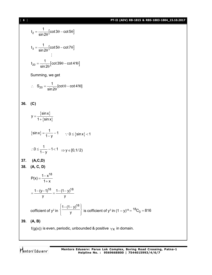$$
t_2 = \frac{1}{\sin 2\theta} [\cot 3\theta - \cot 5\theta]
$$
  

$$
t_3 = \frac{1}{\sin 2\theta} [\cot 5\theta - \cot 7\theta]
$$
  

$$
\vdots
$$
  

$$
t_{20} = \frac{1}{\sin 2\theta} [\cot 39\theta - \cot 41\theta]
$$

Summing, we get

$$
\therefore S_{20} = \frac{1}{\sin 2\theta} [\cot \theta - \cot 41\theta]
$$

$$
36. (C)
$$

 $\{ \textsf{sin} \textsf{x} \}$  $\{ \sin x \}$ sinx y 1 +  $\sin x$  $=$  $\ddot{}$  $\left\{ \textsf{sinx} \right\}$  $\sin x$ } =  $\frac{1}{1}$  - 1  $1 - y$  $=\frac{1}{1}$  - 1  $\frac{1}{-y}$   $\frac{1}{y}$   $\therefore$  0  $\leq$  {sin x} < 1  $0 \leq \frac{1}{1} - 1 < 1$  $1 - y$  $\therefore$  0  $\leq$   $\frac{1}{4}$  – 1  $<$  1  $\overline{y}$  - 1<1  $\Rightarrow$  y  $\in$  [0,1/2] **37. (A,C,D) 38. (A, C, D)**  $P(x) = \frac{1 - x^{18}}{1}$  $1 + x$  $=\frac{1-}{1}$  $^{+}$  $1 - (y - 1)^{18}$  1 -  $(1 - y)^{18}$ y y  $=\frac{1-(y-1)^{10}}{1-(1-y)}$ cofficient of y<sup>2</sup> in  $1 - (1 - y)^{18}$  $\left\{\frac{1-(1-y)^{18}}{y}\right\}$  is cofficient of y<sup>3</sup> in  $(1 - y)^{18} = {^{18}C_3} = 816$ **39. (A, B)**  $f(g(x))$  is even, periodic, unbounded & positive  $\forall x$  in domain.

Mentors Eduserv

**Mentors Eduserv: Parus Lok Complex, Boring Road Crossing, Patna-1 Helpline No. : 9569668800 | 7544015993/4/6/7**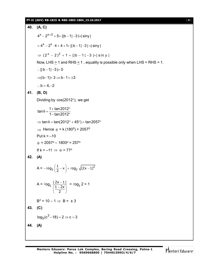#### **PT-II (ADV) RB-1815 & RBS-1803-1804\_15.10.2017** [ **9** ]

**40. (A, C)**  $4^x - 2^{x+2} + 5 + ||b-1| - 3 = siny$  $= 4^x - 2^x \cdot 4 + 4 + 1 + ||b - 1| - 3 = siny$  $\Rightarrow$   $(2^{x} - 2)^{2} + 1 + ||b - 1| - 3 = |\sin y|$ Now, LHS > 1 and RHS < 1 , equality is possible only when LHS = RHS = 1. :.  $||b - 1| - 3| = 0$  $\Rightarrow$  | b - 1 | = 3  $\Rightarrow$  b - 1 =  $\pm$ 3  $\therefore$  b = 4, -2 **41. (B, D)** Dividing by  $cos(2012^\circ)$ , we get  $\tan \theta = \frac{1 + \tan 2012}{1 + \tan 2012}$  $1 - tan 2012$  $\theta = \frac{1 + \tan 2012^{\circ}}{1 + \tan 2012^{\circ}}$ – tan2012°  $\Rightarrow$  tan  $\theta$  = tan(2012 $\degree$  + 45 $\degree$ ) = tan 2057 $\degree$  $\Rightarrow$  Hence  $\theta$  = k (180 $^0$ ) + 2057 $^0$ Put  $k = -10$  $\theta$  = 2057° – 1800° = 257° If  $k = -11 \implies \theta = 77^\circ$ **42. (A)** A =  $-\ell$ og<sub>2</sub>  $\left(\frac{1}{2} - x\right) + \ell$ og<sub>2</sub>  $\sqrt{(2x-1)^2}$  $\log_2\left(\frac{1}{2}-x\right)+\ell$ og<sub>2</sub>  $\sqrt{(2x-1)}$  $-\ell$ og<sub>2</sub>  $\left(\frac{1}{2} - x\right) + \ell$ og<sub>2</sub>  $\sqrt{(2x-1)}$  $A = \ell$ og<sub>2</sub> I J  $\left(\frac{1-2x}{2}\right)$  $\setminus$  $(1 \overline{a}$ 2  $1 - 2x$  $\frac{|2x-1|}{(1-2x)} = \log_2 2 = 1$  $B^2 = 10 - 1 \Rightarrow B = \pm 3$ **43. (C)** 3  $log_3(c^3 - 18) = 2 \Rightarrow c = 3$ **44. (A)**

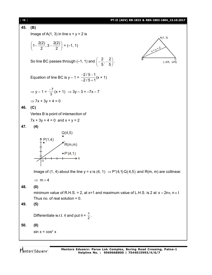| $[ 10 ]$ | PT-II (ADV) RB-1815 & RBS-1803-1804_15.10.2017                                                           |
|----------|----------------------------------------------------------------------------------------------------------|
| 45.      | (B)                                                                                                      |
|          | Image of A(1, 3) in line $x + y = 2$ is<br>A(1, 3)                                                       |
|          | $\left(1-\frac{2(2)}{2},3-\frac{2(2)}{2}\right)=(-1,1)$<br>$x+1=2$                                       |
|          | So line BC passes through (-1, 1) and $\left(-\frac{2}{5}, -\frac{2}{5}\right)$ .<br>$(-2/5, -2/5)$      |
|          | Equation of line BC is $y - 1 = \frac{-2/5 - 1}{-2/5 + 1}(x + 1)$                                        |
|          | $\Rightarrow$ y - 1 = $\frac{-7}{3}$ (x + 1) $\Rightarrow$ 3y - 3 = -7x - 7                              |
|          | $\Rightarrow$ 7x + 3y + 4 = 0                                                                            |
| 46.      | (C)                                                                                                      |
|          | Vertex B is point of intersection of                                                                     |
|          | $7x + 3y + 4 = 0$ and $x + y = 2$                                                                        |
| 47.      | (4)                                                                                                      |
|          | Q(4,5)                                                                                                   |
|          | P(1,4)<br>K(m,m)                                                                                         |
|          |                                                                                                          |
|          | $\bullet P'(4,1)$                                                                                        |
|          | O                                                                                                        |
|          | Image of (1, 4) about the line $y = x$ is (4, 1) $\Rightarrow$ P'(4,1) Q(4,5) and R(m, m) are collinear. |
|          | $\Rightarrow$ m = 4                                                                                      |
| 48.      | (0)                                                                                                      |
|          | minimum value of R.H.S. = 2, at x=1 and maximum value of L.H.S. is 2 at $x = 2n\pi$ , $n \in I$          |
|          | Thus no. of real solution $= 0$ .                                                                        |
| 49.      | (5)                                                                                                      |
|          | Differentiate w.r.t. $\theta$ and put $\theta = \frac{\pi}{2}$ .                                         |
| 50.      | (0)                                                                                                      |
|          | $sin x = cos2 x$                                                                                         |
|          |                                                                                                          |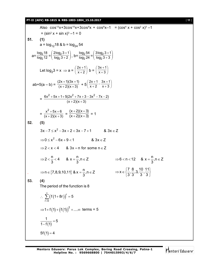#### **PT-II (ADV) RB-1815 & RBS-1803-1804\_15.10.2017** [ **11** ]

Also 
$$
\cos^{12}x + 3\cos^{6}x + 3\cos^{8}x + \cos^{6}x - 1 = (\cos^{4}x + \cos^{2}x)^{3} - 1
$$
  
\n=  $(\sin^{2}x + \sin x)^{3} - 1 = 0$   
\n51. (1)  
\na =  $\log_{12}18 \text{ & } b = \log_{24}54$   
\n $a = \frac{\log_{2}18}{\log_{2}12} = \left(\frac{2\log_{2}3+1}{\log_{2}3+2}\right), b = \frac{\log_{2}54}{\log_{2}2+4} = \left(\frac{3\log_{2}3+1}{\log_{2}3+3}\right)$   
\nLet  $\log_{2}3 = x \Rightarrow a = \left(\frac{2x+1}{x+2}\right) b = \left(\frac{3x+1}{x+3}\right)$   
\n $ab+5(a - b) = \frac{(2x+1)(3x+1)}{(x+2)(x+3)} + 5\left(\frac{2x+1}{x+2} - \frac{3x+1}{x+3}\right)$   
\n $= \frac{6x^{2} + 5x + 1 + 5(2x^{2} + 7x + 3 - 3x^{2} - 7x - 2)}{(x+2)(x+3)} = 1$   
\n52. (5)  
\n3x - 7 \le x^{2} - 3x + 2 < 3x - 7 + 1 & 8 \cdot 3x \in Z  
\n $\Rightarrow 0 \le x^{2} - 6x + 9 < 1$  & 8 \cdot x \in Z  
\n $\Rightarrow 2 < x^{2} - 6x + 9 < 1$  & 8 \cdot x \in Z  
\n $\Rightarrow 2 < x^{2} - 6x + 9 < 1$  & 8 \cdot x \in Z  
\n $\Rightarrow 2 < \frac{n}{3} < 4$  &  $x = \frac{n}{3}, n \in Z$   $\Rightarrow 6 < n < 12$  &  $x = \frac{n}{3}, n \in Z$   
\n $\Rightarrow n \in \{7, 8, 9, 10, 11\} \text{ & } x = \frac{n}{3}, n \in Z$   $\Rightarrow 6 < n < 12$  &  $x = \frac{n}{3}, n \in Z$   
\n $\Rightarrow n \in \{7,$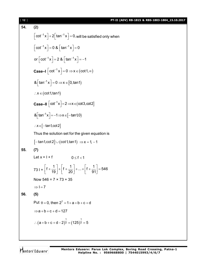54. (2)  
\n
$$
\left[\cot^{-1}x\right] + 2\left[\tan^{-1}x\right] = 0, \text{ will be satisfied only when}
$$
\n
$$
\left[\cot^{-1}x\right] = 0 \& \left[\tan^{-1}x\right] = 0
$$
\n
$$
\text{or } \left[\cot^{-1}x\right] = 2 \& \left[\tan^{-1}x\right] = -1
$$
\n
$$
\text{Case-I } \left[\cot^{-1}x\right] = 0 \Rightarrow x \in (\cot 1, \infty)
$$
\n
$$
\& \left[\tan^{-1}x\right] = 0 \Rightarrow x \in [0, \tan 1)
$$
\n
$$
\therefore x \in (\cot 1, \tan 1)
$$
\n
$$
\text{Case-II } \left[\cot^{-1}x\right] = 2 \Rightarrow x \in (\cot 3, \cot 2]
$$
\n
$$
\& \left[\tan^{-1}x\right] = -1 \Rightarrow x \in [-\tan 1, 0)
$$
\n
$$
\therefore x \in [-\tan 1, \cot 2]
$$
\nThus the solution set for the given equation is  
\n
$$
[-\tan 1, \cot 2] \cup (\cot 1, \tan 1) \Rightarrow x = 1, -1
$$
\n55. (7)  
\nLet  $x = 1 + f$   $0 \le f < 1$   
\n
$$
731 + \left[f + \frac{1}{19}\right] + \left[f + \frac{1}{20}\right] + ... + \left[f + \frac{1}{91}\right] = 546
$$
\nNow  $546 = 7 \times 73 + 35$   
\n
$$
\Rightarrow 1 = 7
$$
\n56. (5)  
\nPut  $\theta = 0$ , then  $2^7 = 1 + a + b + c + d$   
\n
$$
\Rightarrow a + b + c + d = 127
$$
\n
$$
\therefore (a + b + c + d - 2)^{\frac{1}{3}} = (125)^{\frac{1}{3}} = 5
$$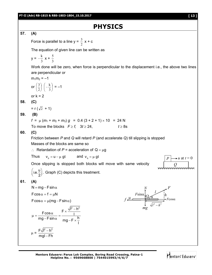# **PHYSICS**

#### **57. (A)**

Force is parallel to a line  $y = \frac{3}{2}$  $\frac{3}{2}$  x + c

The equation of given line can be written as

$$
y = -\frac{k}{3}x + \frac{5}{3}
$$

Work done will be zero, when force is perpendicular to the displacement i.e., the above two lines are perpendicular or

 $m_1m_2 = -1$ or  $\left|\frac{3}{2}\right|$  $\bigg)$  $\left(\frac{3}{2}\right)$  $\backslash$ ſ 2  $\left(\frac{3}{2}\right)\left(-\frac{k}{2}\right)$  $\bigg)$  $\left(-\frac{k}{2}\right)$  $\overline{\phantom{0}}$ ſ 3  $\left(\frac{k}{2}\right) = -1$ or  $k = 2$ 

## **58. (C)**

 $= r (\sqrt{2} + 1)$ 

#### **59. (B)**

 $f = \mu (m_1 + m_2 + m_3) g = 0.4 (3 + 2 + 1) \times 10 = 24$  N To move the blocks  $F \ge f$ ,  $3t \ge 24$ ,  $t \ge 8s$ 

#### **60. (C)**



 $\therefore$  Retardation of *P* = acceleration of Q =  $\mu$ g

Thus 
$$
v_p = u - \mu gt
$$
 and  $v_q = \mu gt$ 

Once slipping is stopped both blocks will move with same velocity

 $i.e. \frac{u}{2}$  $\left($ i.e. $\frac{u}{2} \right)$ . Graph (C) depicts this treatment.

## **61. (A)**

 $N = mg - F \sin \alpha$  $F\cos\alpha = f = \mu N$  $F\cos\alpha = \mu(mg - F\sin\alpha)$  $F \times \frac{\sqrt{I^2 - h^2}}{I}$  $\frac{\text{Fcos}\alpha}{\text{Fcos}\alpha} = \frac{1-\alpha}{\alpha}$ mg – F $\sin \alpha$  mg – F $\times$   $\frac{\hbar}{\hbar}$  $\mu = \frac{F \cos \alpha}{F \cdot F} = \frac{F \times \frac{\sqrt{F}}{F} - F}{F}$   $\mu = \frac{F\sqrt{l^2 - h^2}}{l}$  $\overline{a}$ 

$$
= \frac{1 \text{V} \cdot 1 - 11}{\text{mgl} - \text{F} \cdot \text{h}}
$$

l



 $\rightarrow u$  at  $t = 0$ 

*Q*

*P*

*F*

 $Q_0$   $h$ 

*l*

 $l^2 - h^2$ 

 $\mu \xrightarrow{1 \text{ shrct}} \frac{1}{2\pi} \mathcal{L}$   $\rightarrow$   $F \cos \alpha$ 

*mg*

*N*

*F*sin

*f*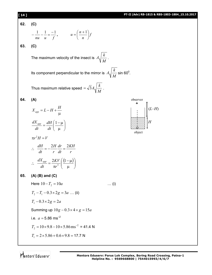#### **[ 14 ] PT-II (Adv) RB-1815 & RBS-1803-1804\_15.10.2017**

**62. (C)**

$$
-\frac{1}{nu} - \frac{1}{u} = \frac{-1}{f}, \qquad u = \left(\frac{n+1}{n}\right)f
$$

**63. (C)**

The maximum velocity of the insect is *M*  $A_1 \left| \frac{k}{\cdot} \right|$ .

Its component perpendicular to the mirror is *M*  $A_1 \left| \frac{k}{\lambda} \right|$  sin 60<sup>0</sup>.

Thus maximum relative speed *M*  $=\sqrt{3}A\sqrt{\frac{k}{k}}$ .

> $\overline{\phantom{a}}$ J  $\mathcal{L}$

$$
64. (A)
$$

$$
X_{app} = L - H + \frac{H}{\mu}
$$

$$
\frac{dX_{app}}{dt} = \frac{dH}{dt} \left( \frac{1 - \mu}{\mu} \right)
$$

*dt*



 $\pi r^2 H = V$ 

*dt*

$$
\therefore \frac{dH}{dt} = -\frac{2H}{r}\frac{dr}{dt} = \frac{2KH}{r}
$$

$$
\therefore \frac{dX_{app}}{dt} = \frac{2KV}{\pi r^3} \left(\frac{(1-\mu)}{\mu}\right)
$$

 $\overline{\phantom{a}}$  $\setminus$ 

 $\mu$ 

**65. (A) (B) and (C)**

Here  $10 - T_2 = 10a$  ... (i)  $T_2 - T_1 - 0.3 \times 2g = 3a$  ... (ii)  $T_1 - 0.3 \times 2g = 2a$ Summing up  $10g - 0.3 \times 4 \times g = 15a$ i.e.  $a = 5.86$  ms<sup>-2</sup> 2  $T_2 = 10 \times 9.8 - 10 \times 5.86 \text{ ms}^{-2} = 41.4 \text{ N}$  $T_1 = 2 \times 5.86 + 0.6 \times 9.8 = 17.7$  N

Mentors Eduserv"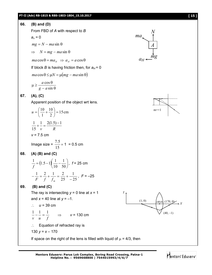#### **PT-II (Adv) RB-1815 & RBS-1803-1804\_15.10.2017 [ 15 ]**



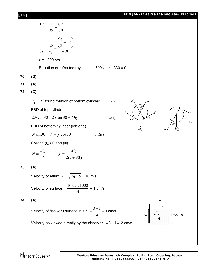### **[ 16 ] PT-II (Adv) RB-1815 & RBS-1803-1804\_15.10.2017**

|     | $\frac{1.5}{v_1} + \frac{1}{39} = \frac{0.5}{30}$                                               |
|-----|-------------------------------------------------------------------------------------------------|
|     | $rac{4}{3v} - \frac{1.5}{v_1} = \frac{\left(\frac{4}{3} - 1.5\right)}{-30}$                     |
|     | $v = -390$ cm                                                                                   |
|     | $390y + x + 330 = 0$<br>Equation of refracted ray is                                            |
| 70. | (D)                                                                                             |
| 71. | (A)                                                                                             |
| 72. | (C)                                                                                             |
|     | $f_1 = f$ for no rotation of bottom cylinder<br>$\dots(i)$                                      |
|     | FBD of top cylinder:                                                                            |
|     | $2N\cos 30 + 2f \sin 30 = Mg$<br>$\ldots$ (ii)<br>$50^\circ$                                    |
|     | $\overline{30^{\circ}}$<br>FBD of bottom cylinder (left one)<br>$\dot{M}g$<br>Mg<br>N           |
|     | $N \sin 30 = f_1 + f \cos 30$<br>$\dots$ (iii)                                                  |
|     | Solving (i), (ii) and (iii)                                                                     |
|     | $N = \frac{Mg}{2}$ $f = \frac{Mg}{2(2+\sqrt{3})}$                                               |
| 73. | (A)                                                                                             |
|     | Velocity of efflux $v = \sqrt{2g \times 5} = 10$ m/s                                            |
|     | Velocity of surface $=$ $\frac{10 \times A/1000}{A}$ = 1 cm/s                                   |
| 74. | (A)<br>办                                                                                        |
|     | Velocity of fish w.r.t surface in air $=$ $\frac{3+1}{1}$ = 3 cm/s<br>μ<br>$A_1 = A/1000$<br>5m |
|     | Velocity as viewed directly by the observer $= 3 - 1 = 2$ cm/s                                  |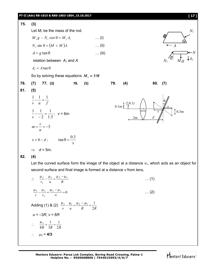**PT-II (Adv) RB-1815 & RBS-1803-1804\_15.10.2017 [ 17 ]**



$$
\therefore \frac{\mu_2}{\nu_1} - \frac{\mu_1}{u} = \frac{\mu_2 - \mu_1}{R}
$$
...(1)  

$$
\frac{\mu_3}{\nu} - \frac{\mu_2}{\nu_1} = \frac{\mu_3 - \mu_2}{\infty} = 0
$$
...(2)  
Adding (1) & (2)  $\frac{\mu_3}{\nu} - \frac{\mu_1}{u} = \frac{\mu_2 - \mu_1}{R} = \frac{1}{2R}$   
 $u = -3R, v = 8R$   
 $\therefore \frac{\mu_3}{8R} + \frac{1}{3R} = \frac{1}{2R}$   
 $\therefore \mu_3 = 4/3$ 

**Mentors Eduserv: Parus Lok Complex, Boring Road Crossing, Patna-1 Helpline No. : 9569668800 | 7544015993/4/6/7**

Mentors Eduserv<sup>®</sup>